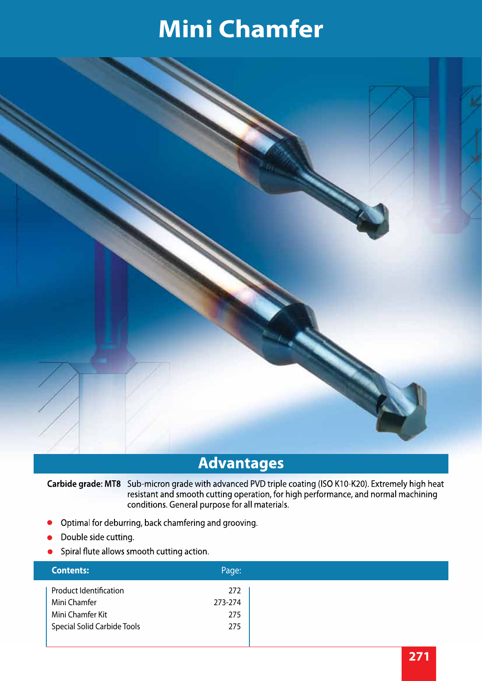

#### **Advantages**

Carbide grade: MT8 Sub-micron grade with advanced PVD triple coating (ISO K10-K20). Extremely high heat resistant and smooth cutting operation, for high performance, and normal machining conditions. General purpose for all materials.

- Optimal for deburring, back chamfering and grooving.  $\bullet$
- Double side cutting.
- Spiral flute allows smooth cutting action.

| <b>Contents:</b>                   | Page:   |
|------------------------------------|---------|
| <b>Product Identification</b>      | 272     |
| Mini Chamfer                       | 273-274 |
| Mini Chamfer Kit                   | 275     |
| <b>Special Solid Carbide Tools</b> | 275     |
|                                    |         |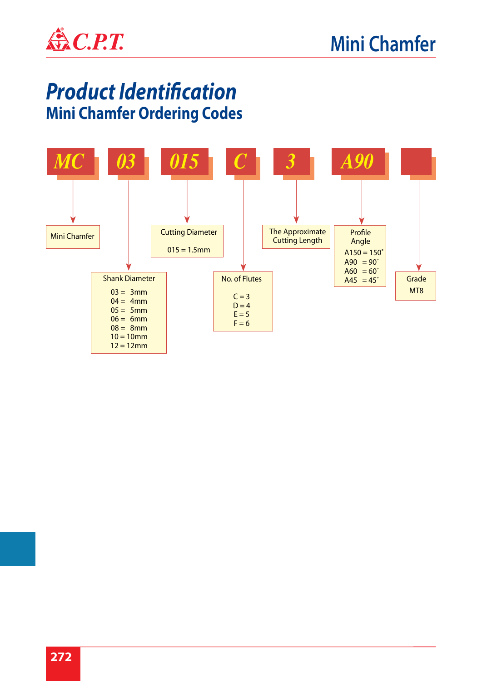

#### *Product Identification*  **Mini Chamfer Ordering Codes**

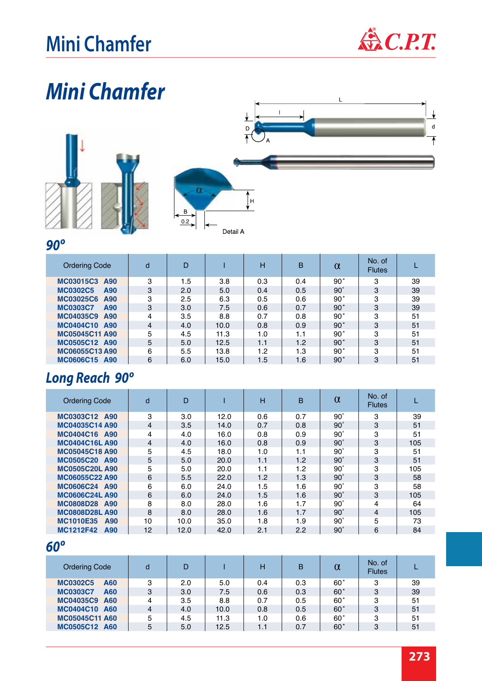

 $\overline{\textbf{r}}$  $\sf d$  $\overline{\mathbf{A}}$ 

## *Mini Chamfer*





#### *90º*

| <b>Ordering Code</b>           | d | D   |      | н   | B   | $\alpha$   | No. of<br><b>Flutes</b> |    |
|--------------------------------|---|-----|------|-----|-----|------------|-------------------------|----|
| MC03015C3 A90                  | 3 | 1.5 | 3.8  | 0.3 | 0.4 | 90°        | 3                       | 39 |
| <b>MC0302C5</b><br>A90         | 3 | 2.0 | 5.0  | 0.4 | 0.5 | $90^\circ$ | 3                       | 39 |
| MC03025C6 A90                  | 3 | 2.5 | 6.3  | 0.5 | 0.6 | 90°        | 3                       | 39 |
| <b>MC0303C7</b><br>A90         | 3 | 3.0 | 7.5  | 0.6 | 0.7 | 90°        | 3                       | 39 |
| MC04035C9 A90                  | 4 | 3.5 | 8.8  | 0.7 | 0.8 | 90°        | 3                       | 51 |
| MC0404C10 A90                  | 4 | 4.0 | 10.0 | 0.8 | 0.9 | 90°        | 3                       | 51 |
| MC05045C11 A90                 | 5 | 4.5 | 11.3 | 1.0 | 1.1 | 90°        | 3                       | 51 |
| MC0505C12 A90                  | 5 | 5.0 | 12.5 | 1.1 | 1.2 | 90°        | 3                       | 51 |
| MC06055C13A90                  | 6 | 5.5 | 13.8 | 1.2 | 1.3 | 90°        | 3                       | 51 |
| <b>MC0606C15</b><br><b>A90</b> | 6 | 6.0 | 15.0 | 1.5 | 1.6 | 90°        | 3                       | 51 |

#### *Long Reach 90º*

| <b>Ordering Code</b>           | d              | D    |      | н   | B   | $\alpha$     | No. of<br><b>Flutes</b> |     |
|--------------------------------|----------------|------|------|-----|-----|--------------|-------------------------|-----|
| MC0303C12 A90                  | 3              | 3.0  | 12.0 | 0.6 | 0.7 | $90^{\circ}$ | 3                       | 39  |
| MC04035C14 A90                 | $\overline{4}$ | 3.5  | 14.0 | 0.7 | 0.8 | $90^\circ$   | 3                       | 51  |
| MC0404C16 A90                  | 4              | 4.0  | 16.0 | 0.8 | 0.9 | $90^{\circ}$ | 3                       | 51  |
| <b>MC0404C16L A90</b>          | 4              | 4.0  | 16.0 | 0.8 | 0.9 | $90^{\circ}$ | 3                       | 105 |
| <b>MC05045C18 A90</b>          | 5              | 4.5  | 18.0 | 1.0 | 1.1 | $90^{\circ}$ | 3                       | 51  |
| MC0505C20 A90                  | 5              | 5.0  | 20.0 | 1.1 | 1.2 | $90^\circ$   | 3                       | 51  |
| <b>MC0505C20L A90</b>          | 5              | 5.0  | 20.0 | 1.1 | 1.2 | $90^{\circ}$ | 3                       | 105 |
| MC06055C22 A90                 | 6              | 5.5  | 22.0 | 1.2 | 1.3 | $90^{\circ}$ | 3                       | 58  |
| MC0606C24 A90                  | 6              | 6.0  | 24.0 | 1.5 | 1.6 | $90^{\circ}$ | 3                       | 58  |
| <b>MC0606C24L A90</b>          | 6              | 6.0  | 24.0 | 1.5 | 1.6 | $90^\circ$   | 3                       | 105 |
| MC0808D28 A90                  | 8              | 8.0  | 28.0 | 1.6 | 1.7 | $90^{\circ}$ | 4                       | 64  |
| <b>MC0808D28L A90</b>          | 8              | 8.0  | 28.0 | 1.6 | 1.7 | $90^{\circ}$ | 4                       | 105 |
| <b>MC1010E35</b><br>A90        | 10             | 10.0 | 35.0 | 1.8 | 1.9 | $90^{\circ}$ | 5                       | 73  |
| <b>MC1212F42</b><br><b>A90</b> | 12             | 12.0 | 42.0 | 2.1 | 2.2 | $90^\circ$   | 6                       | 84  |
| $60^{\circ}$                   |                |      |      |     |     |              |                         |     |

| <b>Ordering Code</b>           | d              | D   |      | н   | в   | α          | No. of<br><b>Flutes</b> |    |
|--------------------------------|----------------|-----|------|-----|-----|------------|-------------------------|----|
| <b>MC0302C5</b><br>A60         | 3              | 2.0 | 5.0  | 0.4 | 0.3 | 60°        | 3                       | 39 |
| <b>MC0303C7</b><br>A60         | 3              | 3.0 | 7.5  | 0.6 | 0.3 | 60°        | 3                       | 39 |
| MC04035C9 A60                  | 4              | 3.5 | 8.8  | 0.7 | 0.5 | 60°        | 3                       | 51 |
| <b>MC0404C10</b><br><b>A60</b> | $\overline{4}$ | 4.0 | 10.0 | 0.8 | 0.5 | $60^\circ$ | 3                       | 51 |
| <b>MC05045C11 A60</b>          | 5              | 4.5 | 11.3 | 1.0 | 0.6 | 60°        | 3                       | 51 |
| MC0505C12 A60                  | 5              | 5.0 | 12.5 | 1.1 | 0.7 | 60°        | 3                       | 51 |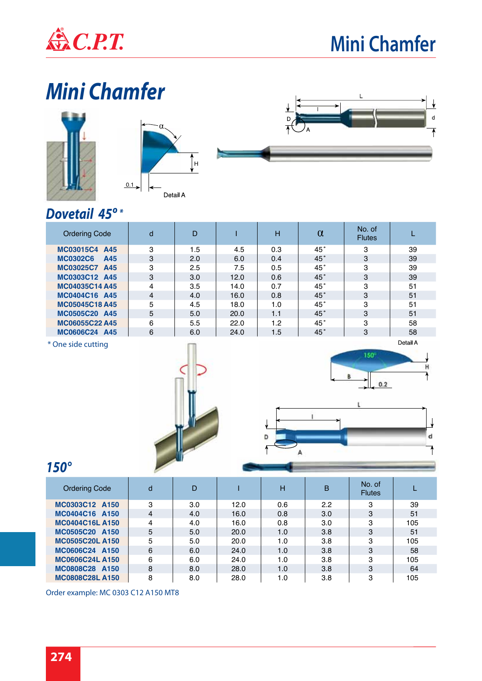







#### *Dovetail 45º \**

| <b>Ordering Code</b>   | d              | D   |      | H   | $\alpha$ | No. of<br><b>Flutes</b> |          |
|------------------------|----------------|-----|------|-----|----------|-------------------------|----------|
| MC03015C4 A45          | 3              | 1.5 | 4.5  | 0.3 | 45°      | 3                       | 39       |
| <b>MC0302C6</b><br>A45 | 3              | 2.0 | 6.0  | 0.4 | 45°      | 3                       | 39       |
| MC03025C7 A45          | 3              | 2.5 | 7.5  | 0.5 | 45°      | 3                       | 39       |
| MC0303C12 A45          | 3              | 3.0 | 12.0 | 0.6 | 45°      | 3                       | 39       |
| MC04035C14 A45         | 4              | 3.5 | 14.0 | 0.7 | 45°      | 3                       | 51       |
| MC0404C16 A45          | $\overline{4}$ | 4.0 | 16.0 | 0.8 | 45°      | 3                       | 51       |
| <b>MC05045C18 A45</b>  | 5              | 4.5 | 18.0 | 1.0 | 45°      | 3                       | 51       |
| MC0505C20 A45          | 5              | 5.0 | 20.0 | 1.1 | 45°      | 3                       | 51       |
| MC06055C22 A45         | 6              | 5.5 | 22.0 | 1.2 | 45°      | 3                       | 58       |
| MC0606C24 A45          | 6              | 6.0 | 24.0 | 1.5 | 45°      | 3                       | 58       |
| $*$ One side cutting   |                |     |      |     |          |                         | Detail A |

\* One side cutting







#### *150°*

| <b>Ordering Code</b>   | d | D   |      | н   | B   | No. of<br><b>Flutes</b> |     |
|------------------------|---|-----|------|-----|-----|-------------------------|-----|
| MC0303C12 A150         | 3 | 3.0 | 12.0 | 0.6 | 2.2 | 3                       | 39  |
| MC0404C16 A150         | 4 | 4.0 | 16.0 | 0.8 | 3.0 | 3                       | 51  |
| <b>MC0404C16L A150</b> | 4 | 4.0 | 16.0 | 0.8 | 3.0 | 3                       | 105 |
| MC0505C20 A150         | 5 | 5.0 | 20.0 | 1.0 | 3.8 | 3                       | 51  |
| <b>MC0505C20L A150</b> | 5 | 5.0 | 20.0 | 1.0 | 3.8 | 3                       | 105 |
| MC0606C24 A150         | 6 | 6.0 | 24.0 | 1.0 | 3.8 | 3                       | 58  |
| <b>MC0606C24L A150</b> | 6 | 6.0 | 24.0 | 1.0 | 3.8 | 3                       | 105 |
| MC0808C28 A150         | 8 | 8.0 | 28.0 | 1.0 | 3.8 | 3                       | 64  |
| <b>MC0808C28L A150</b> | 8 | 8.0 | 28.0 | 1.0 | 3.8 | 3                       | 105 |

Order example: MC 0303 C12 A150 MT8